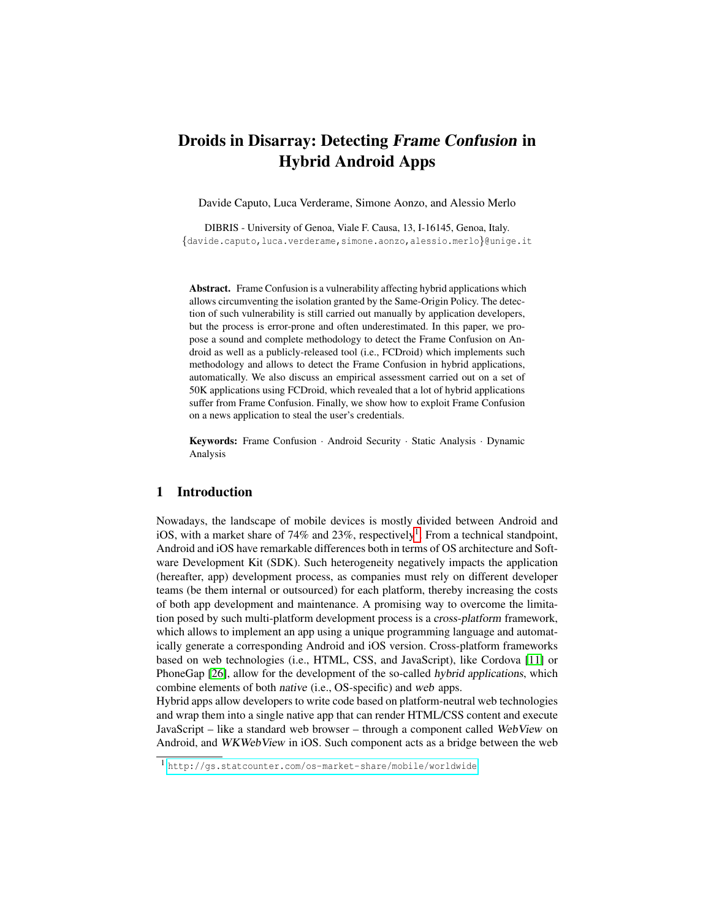# <span id="page-0-0"></span>Droids in Disarray: Detecting Frame Confusion in Hybrid Android Apps

Davide Caputo, Luca Verderame, Simone Aonzo, and Alessio Merlo

DIBRIS - University of Genoa, Viale F. Causa, 13, I-16145, Genoa, Italy. {davide.caputo,luca.verderame,simone.aonzo,alessio.merlo}@unige.it

Abstract. Frame Confusion is a vulnerability affecting hybrid applications which allows circumventing the isolation granted by the Same-Origin Policy. The detection of such vulnerability is still carried out manually by application developers, but the process is error-prone and often underestimated. In this paper, we propose a sound and complete methodology to detect the Frame Confusion on Android as well as a publicly-released tool (i.e., FCDroid) which implements such methodology and allows to detect the Frame Confusion in hybrid applications, automatically. We also discuss an empirical assessment carried out on a set of 50K applications using FCDroid, which revealed that a lot of hybrid applications suffer from Frame Confusion. Finally, we show how to exploit Frame Confusion on a news application to steal the user's credentials.

Keywords: Frame Confusion · Android Security · Static Analysis · Dynamic Analysis

## 1 Introduction

Nowadays, the landscape of mobile devices is mostly divided between Android and iOS, with a market share of 74% and 23%, respectively<sup>1</sup>. From a technical standpoint, Android and iOS have remarkable differences both in terms of OS architecture and Software Development Kit (SDK). Such heterogeneity negatively impacts the application (hereafter, app) development process, as companies must rely on different developer teams (be them internal or outsourced) for each platform, thereby increasing the costs of both app development and maintenance. A promising way to overcome the limitation posed by such multi-platform development process is a cross-platform framework, which allows to implement an app using a unique programming language and automatically generate a corresponding Android and iOS version. Cross-platform frameworks based on web technologies (i.e., HTML, CSS, and JavaScript), like Cordova [\[11\]](#page-16-0) or PhoneGap [\[26\]](#page-17-0), allow for the development of the so-called hybrid applications, which combine elements of both native (i.e., OS-specific) and web apps.

Hybrid apps allow developers to write code based on platform-neutral web technologies and wrap them into a single native app that can render HTML/CSS content and execute JavaScript – like a standard web browser – through a component called WebView on Android, and WKWebView in iOS. Such component acts as a bridge between the web

<sup>1</sup> <http://gs.statcounter.com/os-market-share/mobile/worldwide>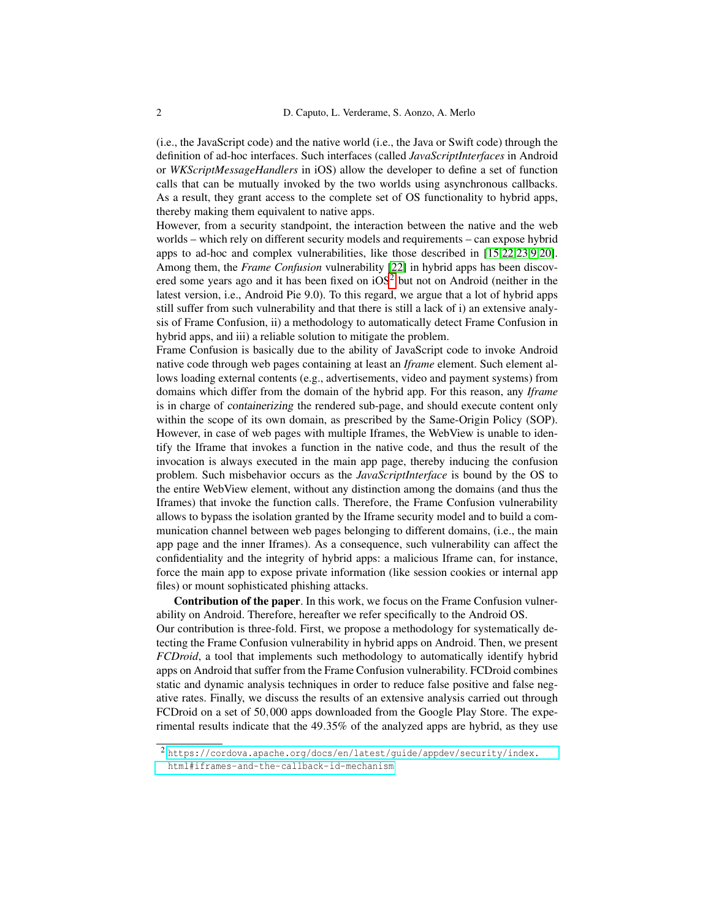(i.e., the JavaScript code) and the native world (i.e., the Java or Swift code) through the definition of ad-hoc interfaces. Such interfaces (called *JavaScriptInterfaces* in Android or *WKScriptMessageHandlers* in iOS) allow the developer to define a set of function calls that can be mutually invoked by the two worlds using asynchronous callbacks. As a result, they grant access to the complete set of OS functionality to hybrid apps, thereby making them equivalent to native apps.

However, from a security standpoint, the interaction between the native and the web worlds – which rely on different security models and requirements – can expose hybrid apps to ad-hoc and complex vulnerabilities, like those described in [\[15](#page-16-1)[,22](#page-17-1)[,23](#page-17-2)[,9](#page-16-2)[,20\]](#page-17-3). Among them, the *Frame Confusion* vulnerability [\[22\]](#page-17-1) in hybrid apps has been discovered some years ago and it has been fixed on  $iOS<sup>2</sup>$  $iOS<sup>2</sup>$  $iOS<sup>2</sup>$  but not on Android (neither in the latest version, i.e., Android Pie 9.0). To this regard, we argue that a lot of hybrid apps still suffer from such vulnerability and that there is still a lack of i) an extensive analysis of Frame Confusion, ii) a methodology to automatically detect Frame Confusion in hybrid apps, and iii) a reliable solution to mitigate the problem.

Frame Confusion is basically due to the ability of JavaScript code to invoke Android native code through web pages containing at least an *Iframe* element. Such element allows loading external contents (e.g., advertisements, video and payment systems) from domains which differ from the domain of the hybrid app. For this reason, any *Iframe* is in charge of containerizing the rendered sub-page, and should execute content only within the scope of its own domain, as prescribed by the Same-Origin Policy (SOP). However, in case of web pages with multiple Iframes, the WebView is unable to identify the Iframe that invokes a function in the native code, and thus the result of the invocation is always executed in the main app page, thereby inducing the confusion problem. Such misbehavior occurs as the *JavaScriptInterface* is bound by the OS to the entire WebView element, without any distinction among the domains (and thus the Iframes) that invoke the function calls. Therefore, the Frame Confusion vulnerability allows to bypass the isolation granted by the Iframe security model and to build a communication channel between web pages belonging to different domains, (i.e., the main app page and the inner Iframes). As a consequence, such vulnerability can affect the confidentiality and the integrity of hybrid apps: a malicious Iframe can, for instance, force the main app to expose private information (like session cookies or internal app files) or mount sophisticated phishing attacks.

Contribution of the paper. In this work, we focus on the Frame Confusion vulnerability on Android. Therefore, hereafter we refer specifically to the Android OS.

Our contribution is three-fold. First, we propose a methodology for systematically detecting the Frame Confusion vulnerability in hybrid apps on Android. Then, we present *FCDroid*, a tool that implements such methodology to automatically identify hybrid apps on Android that suffer from the Frame Confusion vulnerability. FCDroid combines static and dynamic analysis techniques in order to reduce false positive and false negative rates. Finally, we discuss the results of an extensive analysis carried out through FCDroid on a set of 50,000 apps downloaded from the Google Play Store. The experimental results indicate that the 49.35% of the analyzed apps are hybrid, as they use

<sup>2</sup> [https://cordova.apache.org/docs/en/latest/guide/appdev/security/index.](https://cordova.apache.org/docs/en/latest/guide/appdev/security/index.html#iframes-and-the-callback-id-mechanism) [html#iframes-and-the-callback-id-mechanism](https://cordova.apache.org/docs/en/latest/guide/appdev/security/index.html#iframes-and-the-callback-id-mechanism)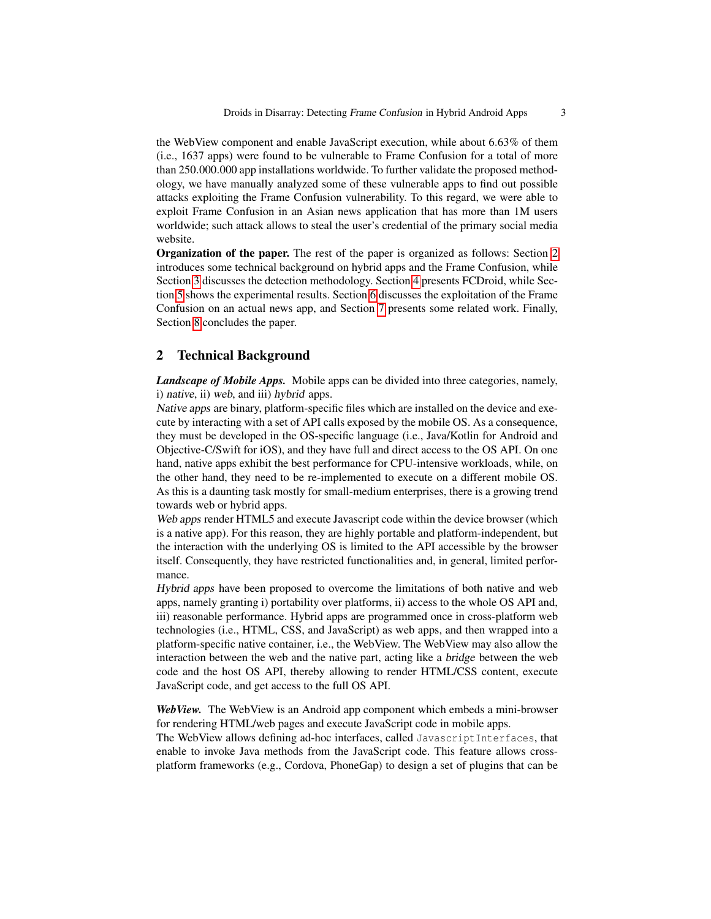the WebView component and enable JavaScript execution, while about 6.63% of them (i.e., 1637 apps) were found to be vulnerable to Frame Confusion for a total of more than 250.000.000 app installations worldwide. To further validate the proposed methodology, we have manually analyzed some of these vulnerable apps to find out possible attacks exploiting the Frame Confusion vulnerability. To this regard, we were able to exploit Frame Confusion in an Asian news application that has more than 1M users worldwide; such attack allows to steal the user's credential of the primary social media website.

Organization of the paper. The rest of the paper is organized as follows: Section [2](#page-2-0) introduces some technical background on hybrid apps and the Frame Confusion, while Section [3](#page-5-0) discusses the detection methodology. Section [4](#page-8-0) presents FCDroid, while Section [5](#page-11-0) shows the experimental results. Section [6](#page-13-0) discusses the exploitation of the Frame Confusion on an actual news app, and Section [7](#page-14-0) presents some related work. Finally, Section [8](#page-15-0) concludes the paper.

## <span id="page-2-0"></span>2 Technical Background

*Landscape of Mobile Apps.* Mobile apps can be divided into three categories, namely, i) native, ii) web, and iii) hybrid apps.

Native apps are binary, platform-specific files which are installed on the device and execute by interacting with a set of API calls exposed by the mobile OS. As a consequence, they must be developed in the OS-specific language (i.e., Java/Kotlin for Android and Objective-C/Swift for iOS), and they have full and direct access to the OS API. On one hand, native apps exhibit the best performance for CPU-intensive workloads, while, on the other hand, they need to be re-implemented to execute on a different mobile OS. As this is a daunting task mostly for small-medium enterprises, there is a growing trend towards web or hybrid apps.

Web apps render HTML5 and execute Javascript code within the device browser (which is a native app). For this reason, they are highly portable and platform-independent, but the interaction with the underlying OS is limited to the API accessible by the browser itself. Consequently, they have restricted functionalities and, in general, limited performance.

Hybrid apps have been proposed to overcome the limitations of both native and web apps, namely granting i) portability over platforms, ii) access to the whole OS API and, iii) reasonable performance. Hybrid apps are programmed once in cross-platform web technologies (i.e., HTML, CSS, and JavaScript) as web apps, and then wrapped into a platform-specific native container, i.e., the WebView. The WebView may also allow the interaction between the web and the native part, acting like a bridge between the web code and the host OS API, thereby allowing to render HTML/CSS content, execute JavaScript code, and get access to the full OS API.

*WebView.* The WebView is an Android app component which embeds a mini-browser for rendering HTML/web pages and execute JavaScript code in mobile apps.

The WebView allows defining ad-hoc interfaces, called JavascriptInterfaces, that enable to invoke Java methods from the JavaScript code. This feature allows crossplatform frameworks (e.g., Cordova, PhoneGap) to design a set of plugins that can be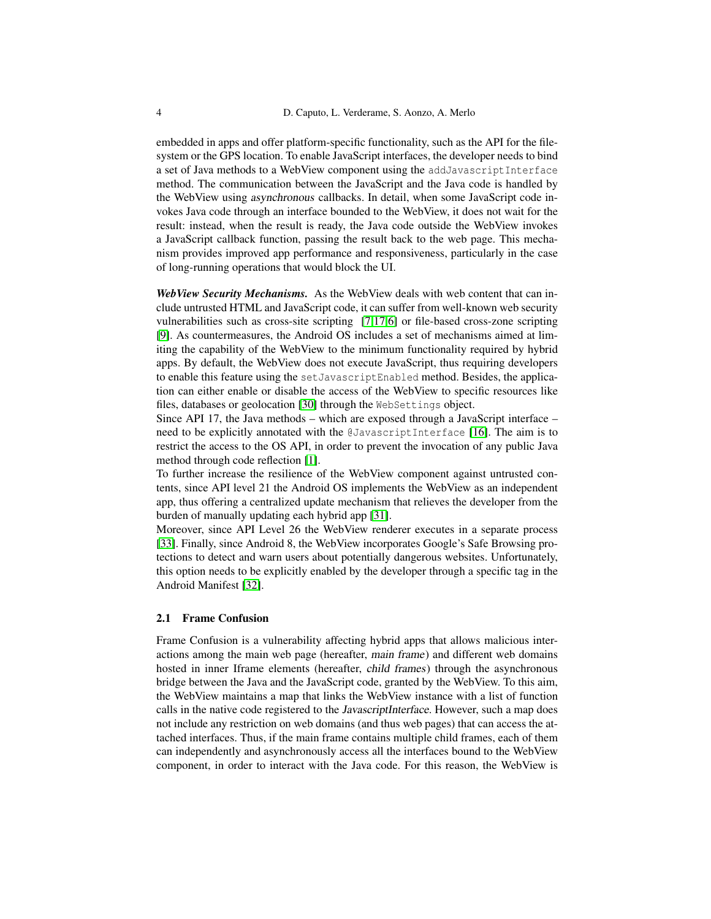embedded in apps and offer platform-specific functionality, such as the API for the filesystem or the GPS location. To enable JavaScript interfaces, the developer needs to bind a set of Java methods to a WebView component using the addJavascriptInterface method. The communication between the JavaScript and the Java code is handled by the WebView using asynchronous callbacks. In detail, when some JavaScript code invokes Java code through an interface bounded to the WebView, it does not wait for the result: instead, when the result is ready, the Java code outside the WebView invokes a JavaScript callback function, passing the result back to the web page. This mechanism provides improved app performance and responsiveness, particularly in the case of long-running operations that would block the UI.

*WebView Security Mechanisms.* As the WebView deals with web content that can include untrusted HTML and JavaScript code, it can suffer from well-known web security vulnerabilities such as cross-site scripting [\[7](#page-16-3)[,17](#page-16-4)[,6\]](#page-16-5) or file-based cross-zone scripting [\[9\]](#page-16-2). As countermeasures, the Android OS includes a set of mechanisms aimed at limiting the capability of the WebView to the minimum functionality required by hybrid apps. By default, the WebView does not execute JavaScript, thus requiring developers to enable this feature using the setJavascriptEnabled method. Besides, the application can either enable or disable the access of the WebView to specific resources like files, databases or geolocation [\[30\]](#page-17-4) through the WebSettings object.

Since API 17, the Java methods – which are exposed through a JavaScript interface – need to be explicitly annotated with the @JavascriptInterface [\[16\]](#page-16-6). The aim is to restrict the access to the OS API, in order to prevent the invocation of any public Java method through code reflection [\[1\]](#page-16-7).

To further increase the resilience of the WebView component against untrusted contents, since API level 21 the Android OS implements the WebView as an independent app, thus offering a centralized update mechanism that relieves the developer from the burden of manually updating each hybrid app [\[31\]](#page-17-5).

Moreover, since API Level 26 the WebView renderer executes in a separate process [\[33\]](#page-17-6). Finally, since Android 8, the WebView incorporates Google's Safe Browsing protections to detect and warn users about potentially dangerous websites. Unfortunately, this option needs to be explicitly enabled by the developer through a specific tag in the Android Manifest [\[32\]](#page-17-7).

#### 2.1 Frame Confusion

Frame Confusion is a vulnerability affecting hybrid apps that allows malicious interactions among the main web page (hereafter, main frame) and different web domains hosted in inner Iframe elements (hereafter, child frames) through the asynchronous bridge between the Java and the JavaScript code, granted by the WebView. To this aim, the WebView maintains a map that links the WebView instance with a list of function calls in the native code registered to the JavascriptInterface. However, such a map does not include any restriction on web domains (and thus web pages) that can access the attached interfaces. Thus, if the main frame contains multiple child frames, each of them can independently and asynchronously access all the interfaces bound to the WebView component, in order to interact with the Java code. For this reason, the WebView is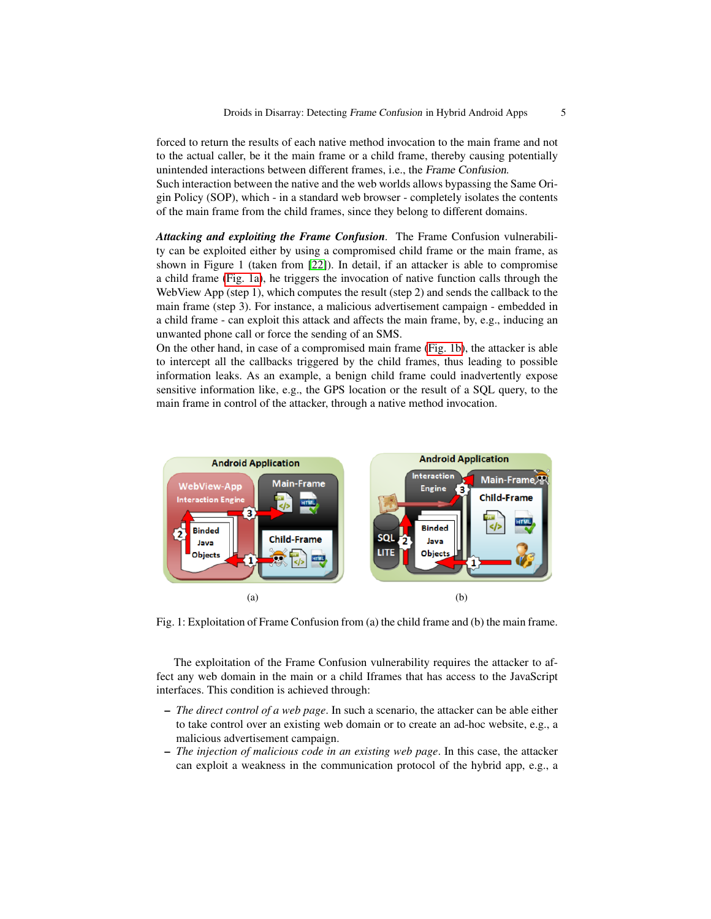forced to return the results of each native method invocation to the main frame and not to the actual caller, be it the main frame or a child frame, thereby causing potentially unintended interactions between different frames, i.e., the Frame Confusion. Such interaction between the native and the web worlds allows bypassing the Same Origin Policy (SOP), which - in a standard web browser - completely isolates the contents of the main frame from the child frames, since they belong to different domains.

*Attacking and exploiting the Frame Confusion.* The Frame Confusion vulnerability can be exploited either by using a compromised child frame or the main frame, as shown in Figure 1 (taken from [\[22\]](#page-17-1)). In detail, if an attacker is able to compromise a child frame [\(Fig. 1a\)](#page-4-0), he triggers the invocation of native function calls through the WebView App (step 1), which computes the result (step 2) and sends the callback to the main frame (step 3). For instance, a malicious advertisement campaign - embedded in a child frame - can exploit this attack and affects the main frame, by, e.g., inducing an unwanted phone call or force the sending of an SMS.

On the other hand, in case of a compromised main frame [\(Fig. 1b\)](#page-4-1), the attacker is able to intercept all the callbacks triggered by the child frames, thus leading to possible information leaks. As an example, a benign child frame could inadvertently expose sensitive information like, e.g., the GPS location or the result of a SQL query, to the main frame in control of the attacker, through a native method invocation.

<span id="page-4-0"></span>

<span id="page-4-1"></span>Fig. 1: Exploitation of Frame Confusion from (a) the child frame and (b) the main frame.

The exploitation of the Frame Confusion vulnerability requires the attacker to affect any web domain in the main or a child Iframes that has access to the JavaScript interfaces. This condition is achieved through:

- *The direct control of a web page*. In such a scenario, the attacker can be able either to take control over an existing web domain or to create an ad-hoc website, e.g., a malicious advertisement campaign.
- *The injection of malicious code in an existing web page*. In this case, the attacker can exploit a weakness in the communication protocol of the hybrid app, e.g., a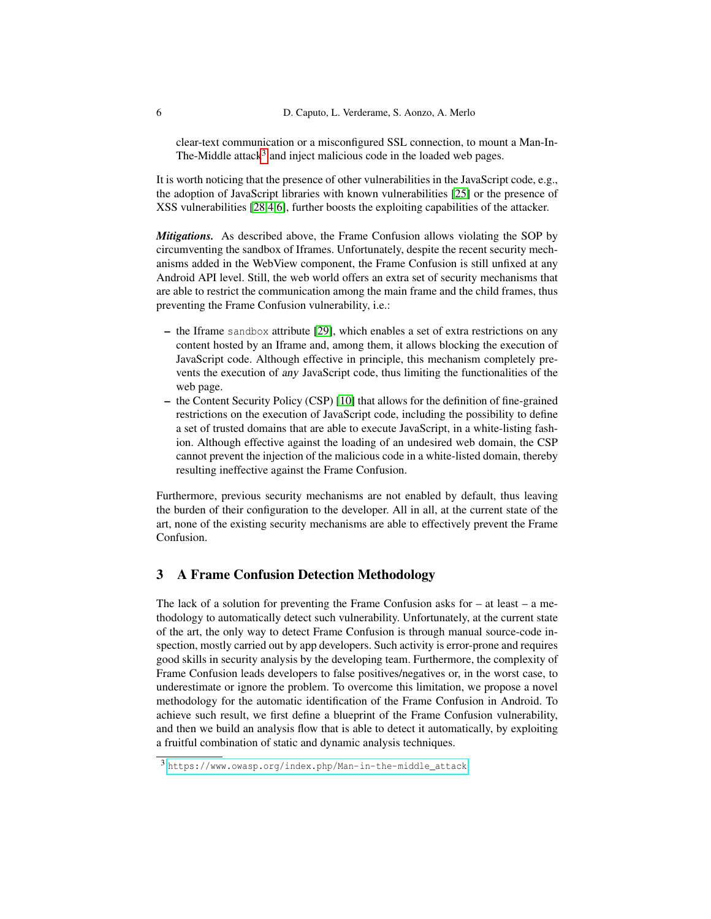clear-text communication or a misconfigured SSL connection, to mount a Man-In-The-Middle attack $3$  and inject malicious code in the loaded web pages.

It is worth noticing that the presence of other vulnerabilities in the JavaScript code, e.g., the adoption of JavaScript libraries with known vulnerabilities [\[25\]](#page-17-8) or the presence of XSS vulnerabilities [\[28](#page-17-9)[,4](#page-16-8)[,6\]](#page-16-5), further boosts the exploiting capabilities of the attacker.

*Mitigations.* As described above, the Frame Confusion allows violating the SOP by circumventing the sandbox of Iframes. Unfortunately, despite the recent security mechanisms added in the WebView component, the Frame Confusion is still unfixed at any Android API level. Still, the web world offers an extra set of security mechanisms that are able to restrict the communication among the main frame and the child frames, thus preventing the Frame Confusion vulnerability, i.e.:

- the Iframe sandbox attribute [\[29\]](#page-17-10), which enables a set of extra restrictions on any content hosted by an Iframe and, among them, it allows blocking the execution of JavaScript code. Although effective in principle, this mechanism completely prevents the execution of any JavaScript code, thus limiting the functionalities of the web page.
- the Content Security Policy (CSP) [\[10\]](#page-16-9) that allows for the definition of fine-grained restrictions on the execution of JavaScript code, including the possibility to define a set of trusted domains that are able to execute JavaScript, in a white-listing fashion. Although effective against the loading of an undesired web domain, the CSP cannot prevent the injection of the malicious code in a white-listed domain, thereby resulting ineffective against the Frame Confusion.

Furthermore, previous security mechanisms are not enabled by default, thus leaving the burden of their configuration to the developer. All in all, at the current state of the art, none of the existing security mechanisms are able to effectively prevent the Frame Confusion.

# <span id="page-5-0"></span>3 A Frame Confusion Detection Methodology

The lack of a solution for preventing the Frame Confusion asks for  $-$  at least  $-$  a methodology to automatically detect such vulnerability. Unfortunately, at the current state of the art, the only way to detect Frame Confusion is through manual source-code inspection, mostly carried out by app developers. Such activity is error-prone and requires good skills in security analysis by the developing team. Furthermore, the complexity of Frame Confusion leads developers to false positives/negatives or, in the worst case, to underestimate or ignore the problem. To overcome this limitation, we propose a novel methodology for the automatic identification of the Frame Confusion in Android. To achieve such result, we first define a blueprint of the Frame Confusion vulnerability, and then we build an analysis flow that is able to detect it automatically, by exploiting a fruitful combination of static and dynamic analysis techniques.

<sup>3</sup> [https://www.owasp.org/index.php/Man-in-the-middle\\_attack](https://www.owasp.org/index.php/Man-in-the-middle_attack)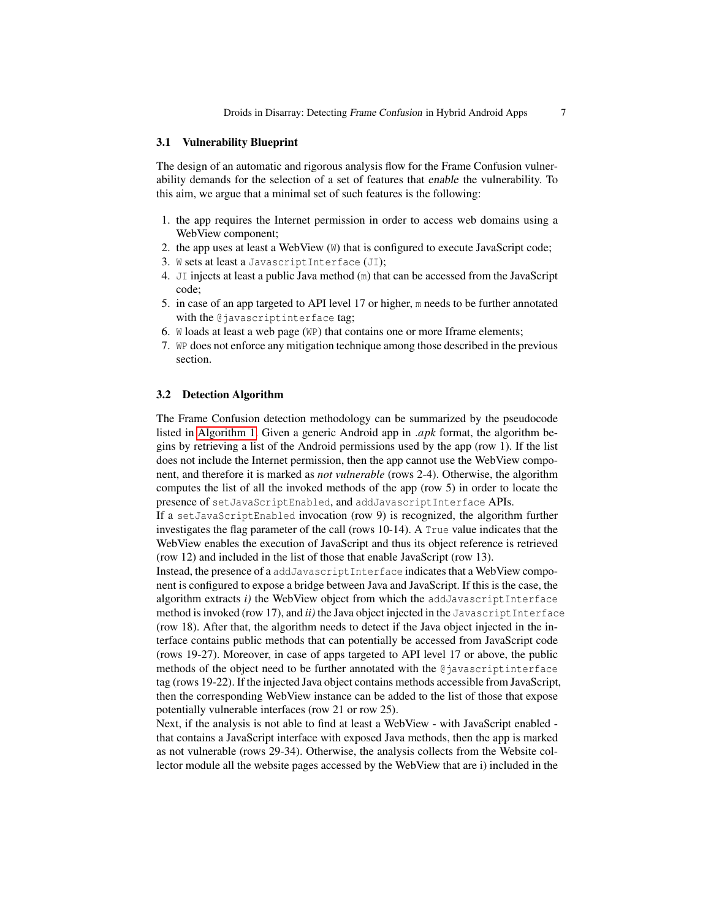#### 3.1 Vulnerability Blueprint

The design of an automatic and rigorous analysis flow for the Frame Confusion vulnerability demands for the selection of a set of features that enable the vulnerability. To this aim, we argue that a minimal set of such features is the following:

- 1. the app requires the Internet permission in order to access web domains using a WebView component;
- 2. the app uses at least a WebView  $(W)$  that is configured to execute JavaScript code;
- 3. W sets at least a JavascriptInterface (JI);
- 4. JI injects at least a public Java method (m) that can be accessed from the JavaScript code;
- 5. in case of an app targeted to API level 17 or higher, m needs to be further annotated with the @javascriptinterface tag;
- 6. W loads at least a web page (WP) that contains one or more Iframe elements;
- 7. WP does not enforce any mitigation technique among those described in the previous section.

#### 3.2 Detection Algorithm

The Frame Confusion detection methodology can be summarized by the pseudocode listed in [Algorithm 1.](#page-7-0) Given a generic Android app in .*apk* format, the algorithm begins by retrieving a list of the Android permissions used by the app (row 1). If the list does not include the Internet permission, then the app cannot use the WebView component, and therefore it is marked as *not vulnerable* (rows 2-4). Otherwise, the algorithm computes the list of all the invoked methods of the app (row 5) in order to locate the presence of setJavaScriptEnabled, and addJavascriptInterface APIs.

If a setJavaScriptEnabled invocation (row 9) is recognized, the algorithm further investigates the flag parameter of the call (rows 10-14). A True value indicates that the WebView enables the execution of JavaScript and thus its object reference is retrieved (row 12) and included in the list of those that enable JavaScript (row 13).

Instead, the presence of a addJavascriptInterface indicates that a WebView component is configured to expose a bridge between Java and JavaScript. If this is the case, the algorithm extracts *i)* the WebView object from which the addJavascriptInterface method is invoked (row 17), and *ii)* the Java object injected in the JavascriptInterface (row 18). After that, the algorithm needs to detect if the Java object injected in the interface contains public methods that can potentially be accessed from JavaScript code (rows 19-27). Moreover, in case of apps targeted to API level 17 or above, the public methods of the object need to be further annotated with the @javascriptinterface tag (rows 19-22). If the injected Java object contains methods accessible from JavaScript, then the corresponding WebView instance can be added to the list of those that expose potentially vulnerable interfaces (row 21 or row 25).

Next, if the analysis is not able to find at least a WebView - with JavaScript enabled that contains a JavaScript interface with exposed Java methods, then the app is marked as not vulnerable (rows 29-34). Otherwise, the analysis collects from the Website collector module all the website pages accessed by the WebView that are i) included in the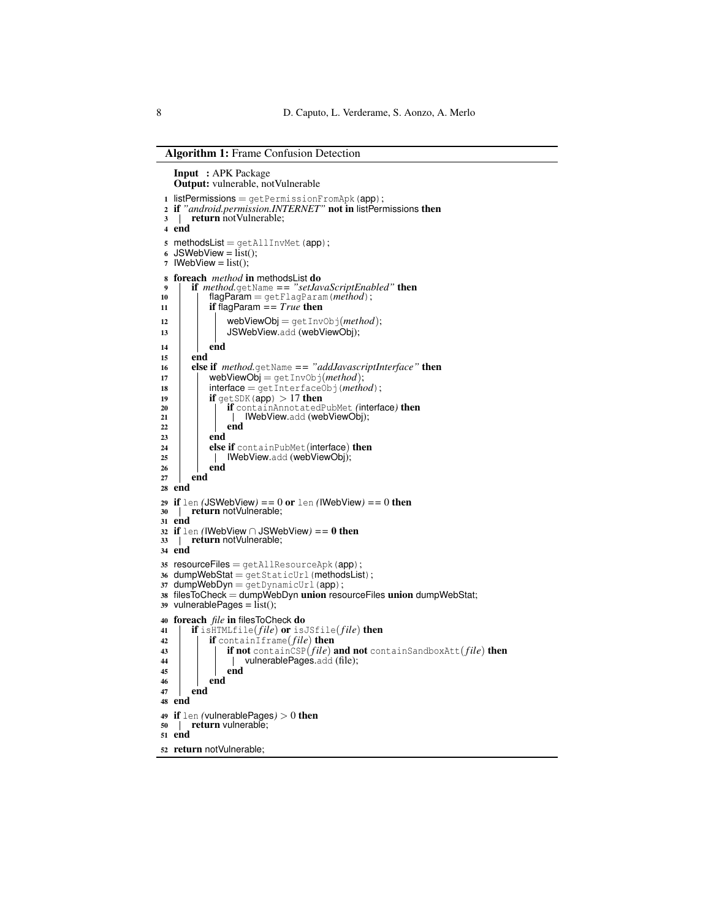```
Algorithm 1: Frame Confusion Detection
```

```
Input : APK Package
   Output: vulnerable, notVulnerable
 1 listPermissions = getPermissionFromApk(app);
2 if "android.permission.INTERNET" not in listPermissions then
3 | return not Vulnerable;
4 end
s methodsList = getAllInvMet(app);
 6 JSWebView = list();
7 IWebView = list();
8 foreach method in methods List do<br>9 if method.getName == "setJav
9 if \text{method.getName} == \text{"setJavaScriptEnable" then}<br>
10 flagParam = getFlagParam(method);
11 if flagParam = = True then
12 webViewObj = qetInvObj(method);
13 | | | JSWebView.add (webViewObj);
\begin{array}{c|c} 14 & \quad | & \quad \text{end} \\ 15 & \quad \text{end}end
16 else if method.getName == "addJavascriptInterface" then
\overline{17} webViewObj = getInvObj(method);
18 interface = getInterfaceObj(method);
19 if getSDK(app) > 17 then<br>20 if containAnnotatedPubMet (interface) then
21 IWebView.add (webViewObj);
                 end
\begin{array}{c|c} 23 \\ 24 \end{array} end else
24 else if containPubMet(interface) then<br>
\frac{25}{25} WebView add (webViewObi):
\begin{array}{|c|c|c|}\n\hline\n25 & \text{end}\n\end{array} IWebView.add (webViewObj);
\begin{array}{c|c} 26 \\ 27 \end{array} end end
        end
28 end
29 if len (JSWebView) == 0 or len (IWebView) == 0 then<br>30 | return notVulnerable:
   | return notVulnerable;
31 end
32 if len (IWebView ∩ JSWebView) == 0 then<br>33 return notVulnerable;
34 end
35 resourceFiles = getAllResourceApk(app);
36 dumpWebStat = getStaticUrl(methodsList);
37 dumpWebDyn = getDynamicUrl(app);
38 filesToCheck = dumpWebDyn union resourceFiles union dumpWebStat;
39 vulnerablePages = list();
40 foreach file in filesToCheck do 41 | if isHTMLfile(file) or ise
        41 if isHTMLfile(file) or isJSfile(file) then
42 | | if containIframe(file) then
43 if not containCSP(file) and not containSandboxAtt(file) then<br>44 vulnerablePages.add (file);
                     vulnerablePages.add (file);
45 \parallel \parallel end
            end
47 end
48 end
49 if len (vulnerablePages) > 0 then
50 | return vulnerable;
51 end
52 return notVulnerable;
```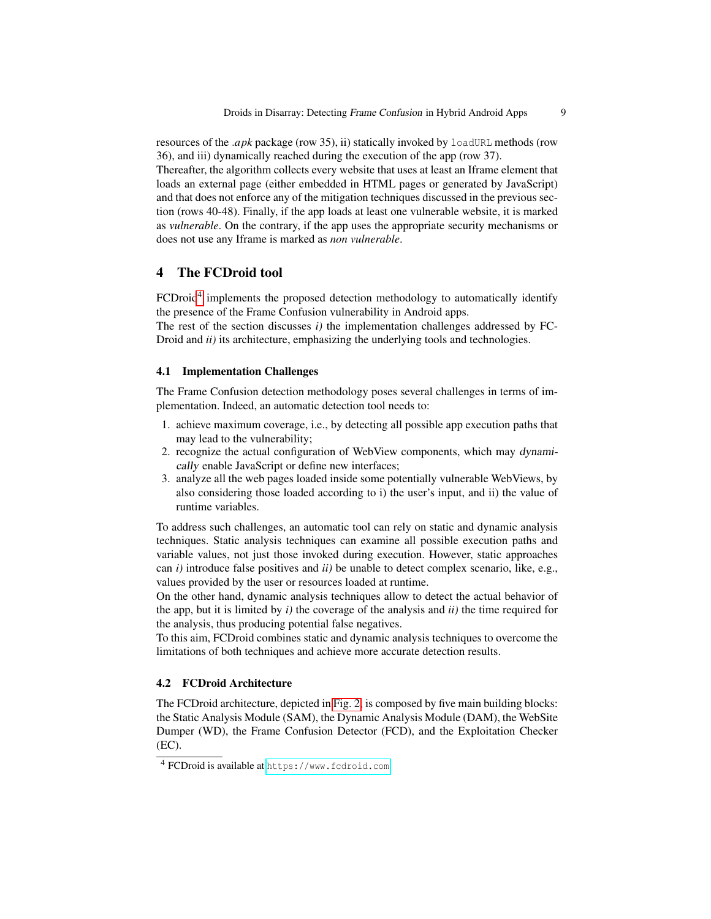resources of the .*apk* package (row 35), ii) statically invoked by loadURL methods (row 36), and iii) dynamically reached during the execution of the app (row 37).

Thereafter, the algorithm collects every website that uses at least an Iframe element that loads an external page (either embedded in HTML pages or generated by JavaScript) and that does not enforce any of the mitigation techniques discussed in the previous section (rows 40-48). Finally, if the app loads at least one vulnerable website, it is marked as *vulnerable*. On the contrary, if the app uses the appropriate security mechanisms or does not use any Iframe is marked as *non vulnerable*.

## <span id="page-8-0"></span>4 The FCDroid tool

FCDroid<sup>[4](#page-0-0)</sup> implements the proposed detection methodology to automatically identify the presence of the Frame Confusion vulnerability in Android apps.

The rest of the section discusses *i)* the implementation challenges addressed by FC-Droid and *ii)* its architecture, emphasizing the underlying tools and technologies.

#### 4.1 Implementation Challenges

The Frame Confusion detection methodology poses several challenges in terms of implementation. Indeed, an automatic detection tool needs to:

- 1. achieve maximum coverage, i.e., by detecting all possible app execution paths that may lead to the vulnerability;
- 2. recognize the actual configuration of WebView components, which may dynamically enable JavaScript or define new interfaces;
- 3. analyze all the web pages loaded inside some potentially vulnerable WebViews, by also considering those loaded according to i) the user's input, and ii) the value of runtime variables.

To address such challenges, an automatic tool can rely on static and dynamic analysis techniques. Static analysis techniques can examine all possible execution paths and variable values, not just those invoked during execution. However, static approaches can *i)* introduce false positives and *ii)* be unable to detect complex scenario, like, e.g., values provided by the user or resources loaded at runtime.

On the other hand, dynamic analysis techniques allow to detect the actual behavior of the app, but it is limited by *i)* the coverage of the analysis and *ii)* the time required for the analysis, thus producing potential false negatives.

To this aim, FCDroid combines static and dynamic analysis techniques to overcome the limitations of both techniques and achieve more accurate detection results.

#### 4.2 FCDroid Architecture

The FCDroid architecture, depicted in [Fig. 2,](#page-9-0) is composed by five main building blocks: the Static Analysis Module (SAM), the Dynamic Analysis Module (DAM), the WebSite Dumper (WD), the Frame Confusion Detector (FCD), and the Exploitation Checker (EC).

<sup>4</sup> FCDroid is available at <https://www.fcdroid.com>.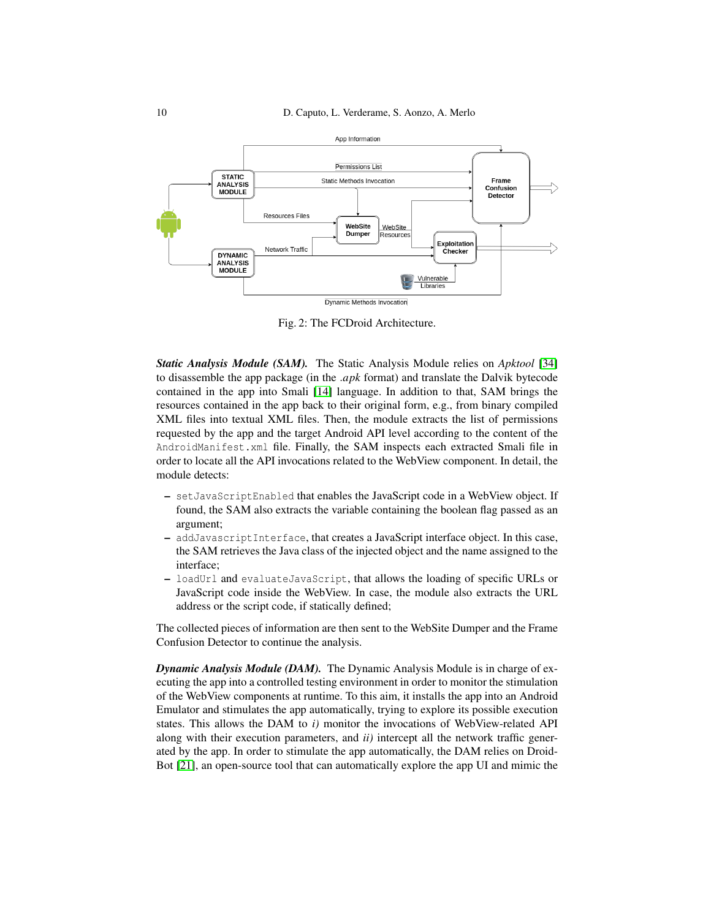<span id="page-9-0"></span>

Fig. 2: The FCDroid Architecture.

*Static Analysis Module (SAM).* The Static Analysis Module relies on *Apktool* [\[34\]](#page-17-11) to disassemble the app package (in the .*apk* format) and translate the Dalvik bytecode contained in the app into Smali [\[14\]](#page-16-10) language. In addition to that, SAM brings the resources contained in the app back to their original form, e.g., from binary compiled XML files into textual XML files. Then, the module extracts the list of permissions requested by the app and the target Android API level according to the content of the AndroidManifest.xml file. Finally, the SAM inspects each extracted Smali file in order to locate all the API invocations related to the WebView component. In detail, the module detects:

- setJavaScriptEnabled that enables the JavaScript code in a WebView object. If found, the SAM also extracts the variable containing the boolean flag passed as an argument;
- addJavascriptInterface, that creates a JavaScript interface object. In this case, the SAM retrieves the Java class of the injected object and the name assigned to the interface;
- loadUrl and evaluateJavaScript, that allows the loading of specific URLs or JavaScript code inside the WebView. In case, the module also extracts the URL address or the script code, if statically defined;

The collected pieces of information are then sent to the WebSite Dumper and the Frame Confusion Detector to continue the analysis.

*Dynamic Analysis Module (DAM).* The Dynamic Analysis Module is in charge of executing the app into a controlled testing environment in order to monitor the stimulation of the WebView components at runtime. To this aim, it installs the app into an Android Emulator and stimulates the app automatically, trying to explore its possible execution states. This allows the DAM to *i)* monitor the invocations of WebView-related API along with their execution parameters, and *ii)* intercept all the network traffic generated by the app. In order to stimulate the app automatically, the DAM relies on Droid-Bot [\[21\]](#page-17-12), an open-source tool that can automatically explore the app UI and mimic the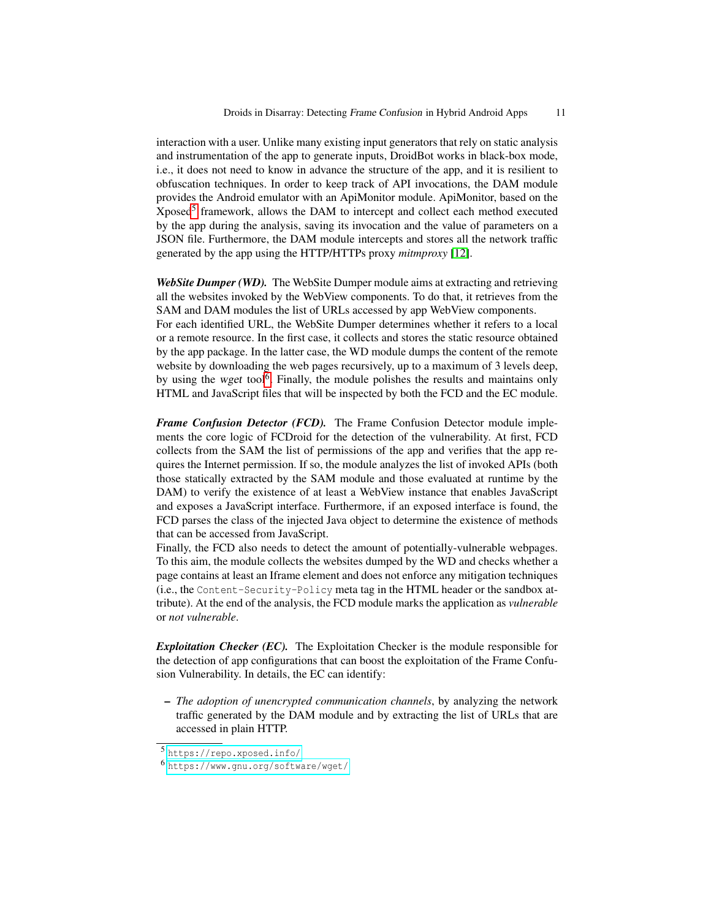interaction with a user. Unlike many existing input generators that rely on static analysis and instrumentation of the app to generate inputs, DroidBot works in black-box mode, i.e., it does not need to know in advance the structure of the app, and it is resilient to obfuscation techniques. In order to keep track of API invocations, the DAM module provides the Android emulator with an ApiMonitor module. ApiMonitor, based on the Xposed<sup>[5](#page-0-0)</sup> framework, allows the DAM to intercept and collect each method executed by the app during the analysis, saving its invocation and the value of parameters on a JSON file. Furthermore, the DAM module intercepts and stores all the network traffic generated by the app using the HTTP/HTTPs proxy *mitmproxy* [\[12\]](#page-16-11).

*WebSite Dumper (WD).* The WebSite Dumper module aims at extracting and retrieving all the websites invoked by the WebView components. To do that, it retrieves from the SAM and DAM modules the list of URLs accessed by app WebView components.

For each identified URL, the WebSite Dumper determines whether it refers to a local or a remote resource. In the first case, it collects and stores the static resource obtained by the app package. In the latter case, the WD module dumps the content of the remote website by downloading the web pages recursively, up to a maximum of 3 levels deep, by using the wget tool<sup>[6](#page-0-0)</sup>. Finally, the module polishes the results and maintains only HTML and JavaScript files that will be inspected by both the FCD and the EC module.

*Frame Confusion Detector (FCD).* The Frame Confusion Detector module implements the core logic of FCDroid for the detection of the vulnerability. At first, FCD collects from the SAM the list of permissions of the app and verifies that the app requires the Internet permission. If so, the module analyzes the list of invoked APIs (both those statically extracted by the SAM module and those evaluated at runtime by the DAM) to verify the existence of at least a WebView instance that enables JavaScript and exposes a JavaScript interface. Furthermore, if an exposed interface is found, the FCD parses the class of the injected Java object to determine the existence of methods that can be accessed from JavaScript.

Finally, the FCD also needs to detect the amount of potentially-vulnerable webpages. To this aim, the module collects the websites dumped by the WD and checks whether a page contains at least an Iframe element and does not enforce any mitigation techniques (i.e., the Content-Security-Policy meta tag in the HTML header or the sandbox attribute). At the end of the analysis, the FCD module marks the application as *vulnerable* or *not vulnerable*.

*Exploitation Checker (EC).* The Exploitation Checker is the module responsible for the detection of app configurations that can boost the exploitation of the Frame Confusion Vulnerability. In details, the EC can identify:

– *The adoption of unencrypted communication channels*, by analyzing the network traffic generated by the DAM module and by extracting the list of URLs that are accessed in plain HTTP.

<sup>5</sup> <https://repo.xposed.info/>

<sup>6</sup> <https://www.gnu.org/software/wget/>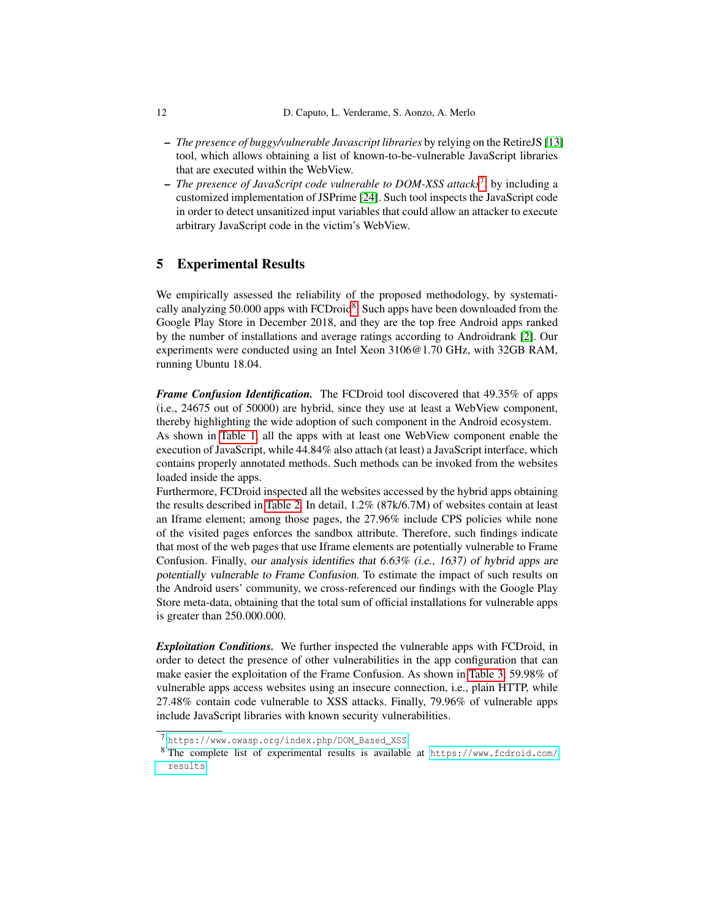- *The presence of buggy/vulnerable Javascript libraries* by relying on the RetireJS [\[13\]](#page-16-12) tool, which allows obtaining a list of known-to-be-vulnerable JavaScript libraries that are executed within the WebView.
- *The presence of JavaScript code vulnerable to DOM-XSS attacks*[7](#page-0-0) , by including a customized implementation of JSPrime [\[24\]](#page-17-13). Such tool inspects the JavaScript code in order to detect unsanitized input variables that could allow an attacker to execute arbitrary JavaScript code in the victim's WebView.

# <span id="page-11-0"></span>5 Experimental Results

We empirically assessed the reliability of the proposed methodology, by systemati-cally analyzing 50.000 apps with FCDroid<sup>[8](#page-0-0)</sup>. Such apps have been downloaded from the Google Play Store in December 2018, and they are the top free Android apps ranked by the number of installations and average ratings according to Androidrank [\[2\]](#page-16-13). Our experiments were conducted using an Intel Xeon 3106@1.70 GHz, with 32GB RAM, running Ubuntu 18.04.

*Frame Confusion Identification.* The FCDroid tool discovered that 49.35% of apps (i.e., 24675 out of 50000) are hybrid, since they use at least a WebView component, thereby highlighting the wide adoption of such component in the Android ecosystem.

As shown in [Table 1,](#page-12-0) all the apps with at least one WebView component enable the execution of JavaScript, while 44.84% also attach (at least) a JavaScript interface, which contains properly annotated methods. Such methods can be invoked from the websites loaded inside the apps.

Furthermore, FCDroid inspected all the websites accessed by the hybrid apps obtaining the results described in [Table 2.](#page-12-1) In detail, 1.2% (87k/6.7M) of websites contain at least an Iframe element; among those pages, the 27.96% include CPS policies while none of the visited pages enforces the sandbox attribute. Therefore, such findings indicate that most of the web pages that use Iframe elements are potentially vulnerable to Frame Confusion. Finally, our analysis identifies that 6.63% (i.e., 1637) of hybrid apps are potentially vulnerable to Frame Confusion. To estimate the impact of such results on the Android users' community, we cross-referenced our findings with the Google Play Store meta-data, obtaining that the total sum of official installations for vulnerable apps is greater than 250.000.000.

*Exploitation Conditions.* We further inspected the vulnerable apps with FCDroid, in order to detect the presence of other vulnerabilities in the app configuration that can make easier the exploitation of the Frame Confusion. As shown in [Table 3,](#page-12-2) 59.98% of vulnerable apps access websites using an insecure connection, i.e., plain HTTP, while 27.48% contain code vulnerable to XSS attacks. Finally, 79.96% of vulnerable apps include JavaScript libraries with known security vulnerabilities.

<sup>7</sup> [https://www.owasp.org/index.php/DOM\\_Based\\_XSS](https://www.owasp.org/index.php/DOM_Based_XSS)

<sup>8</sup> The complete list of experimental results is available at [https://www.fcdroid.com/](https://www.fcdroid.com/results) [results](https://www.fcdroid.com/results).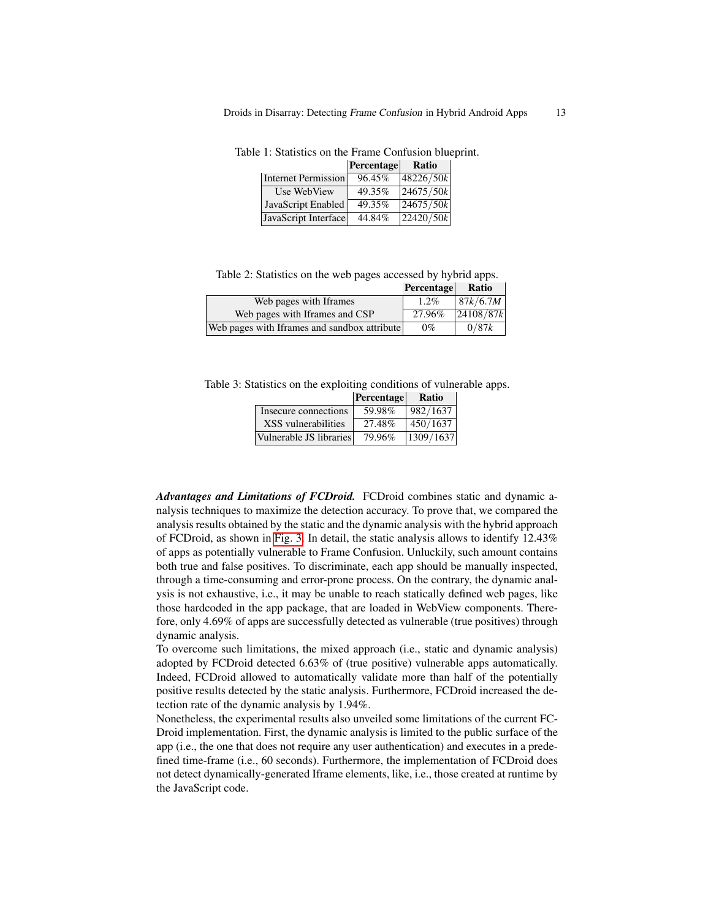|                      | Percentage | Ratio                              |
|----------------------|------------|------------------------------------|
| Internet Permission  | 96.45%     | 48226/50k                          |
| Use WebView          | 49.35%     | 24675/50k                          |
| JavaScript Enabled   | 49.35%     | 24675/50k                          |
| JavaScript Interface | 44.84%     | $\left  \frac{22420}{50k} \right $ |

<span id="page-12-0"></span>Table 1: Statistics on the Frame Confusion blueprint.

Table 2: Statistics on the web pages accessed by hybrid apps.

<span id="page-12-1"></span>

|                                              | Percentage | Ratio     |
|----------------------------------------------|------------|-----------|
| Web pages with Iframes                       | $1.2\%$    | 87k/6.7M  |
| Web pages with Iframes and CSP               | 27.96%     | 24108/87k |
| Web pages with Iframes and sandbox attribute | $0\%$      | 0/87k     |

<span id="page-12-2"></span>Table 3: Statistics on the exploiting conditions of vulnerable apps.

|                         | Percentage | <b>Ratio</b> |
|-------------------------|------------|--------------|
| Insecure connections    | 59.98%     | 982/1637     |
| XSS vulnerabilities     | 27.48%     | 450/1637     |
| Vulnerable JS libraries | 79.96%     | 1309/1637    |

*Advantages and Limitations of FCDroid.* FCDroid combines static and dynamic analysis techniques to maximize the detection accuracy. To prove that, we compared the analysis results obtained by the static and the dynamic analysis with the hybrid approach of FCDroid, as shown in [Fig. 3.](#page-13-1) In detail, the static analysis allows to identify 12.43% of apps as potentially vulnerable to Frame Confusion. Unluckily, such amount contains both true and false positives. To discriminate, each app should be manually inspected, through a time-consuming and error-prone process. On the contrary, the dynamic analysis is not exhaustive, i.e., it may be unable to reach statically defined web pages, like those hardcoded in the app package, that are loaded in WebView components. Therefore, only 4.69% of apps are successfully detected as vulnerable (true positives) through dynamic analysis.

To overcome such limitations, the mixed approach (i.e., static and dynamic analysis) adopted by FCDroid detected 6.63% of (true positive) vulnerable apps automatically. Indeed, FCDroid allowed to automatically validate more than half of the potentially positive results detected by the static analysis. Furthermore, FCDroid increased the detection rate of the dynamic analysis by 1.94%.

Nonetheless, the experimental results also unveiled some limitations of the current FC-Droid implementation. First, the dynamic analysis is limited to the public surface of the app (i.e., the one that does not require any user authentication) and executes in a predefined time-frame (i.e., 60 seconds). Furthermore, the implementation of FCDroid does not detect dynamically-generated Iframe elements, like, i.e., those created at runtime by the JavaScript code.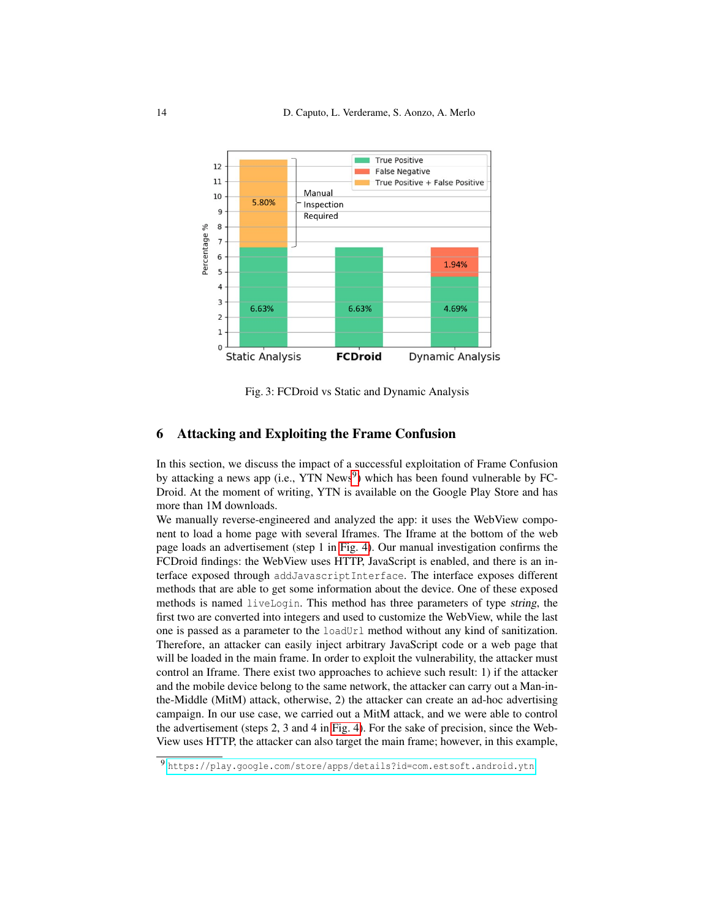<span id="page-13-1"></span>

Fig. 3: FCDroid vs Static and Dynamic Analysis

# <span id="page-13-0"></span>6 Attacking and Exploiting the Frame Confusion

In this section, we discuss the impact of a successful exploitation of Frame Confusion by attacking a news app (i.e., YTN News<sup>[9](#page-0-0)</sup>) which has been found vulnerable by FC-Droid. At the moment of writing, YTN is available on the Google Play Store and has more than 1M downloads.

We manually reverse-engineered and analyzed the app: it uses the WebView component to load a home page with several Iframes. The Iframe at the bottom of the web page loads an advertisement (step 1 in [Fig. 4\)](#page-14-1). Our manual investigation confirms the FCDroid findings: the WebView uses HTTP, JavaScript is enabled, and there is an interface exposed through addJavascriptInterface. The interface exposes different methods that are able to get some information about the device. One of these exposed methods is named liveLogin. This method has three parameters of type string, the first two are converted into integers and used to customize the WebView, while the last one is passed as a parameter to the loadUrl method without any kind of sanitization. Therefore, an attacker can easily inject arbitrary JavaScript code or a web page that will be loaded in the main frame. In order to exploit the vulnerability, the attacker must control an Iframe. There exist two approaches to achieve such result: 1) if the attacker and the mobile device belong to the same network, the attacker can carry out a Man-inthe-Middle (MitM) attack, otherwise, 2) the attacker can create an ad-hoc advertising campaign. In our use case, we carried out a MitM attack, and we were able to control the advertisement (steps 2, 3 and 4 in [Fig. 4\)](#page-14-1). For the sake of precision, since the Web-View uses HTTP, the attacker can also target the main frame; however, in this example,

<sup>9</sup> <https://play.google.com/store/apps/details?id=com.estsoft.android.ytn>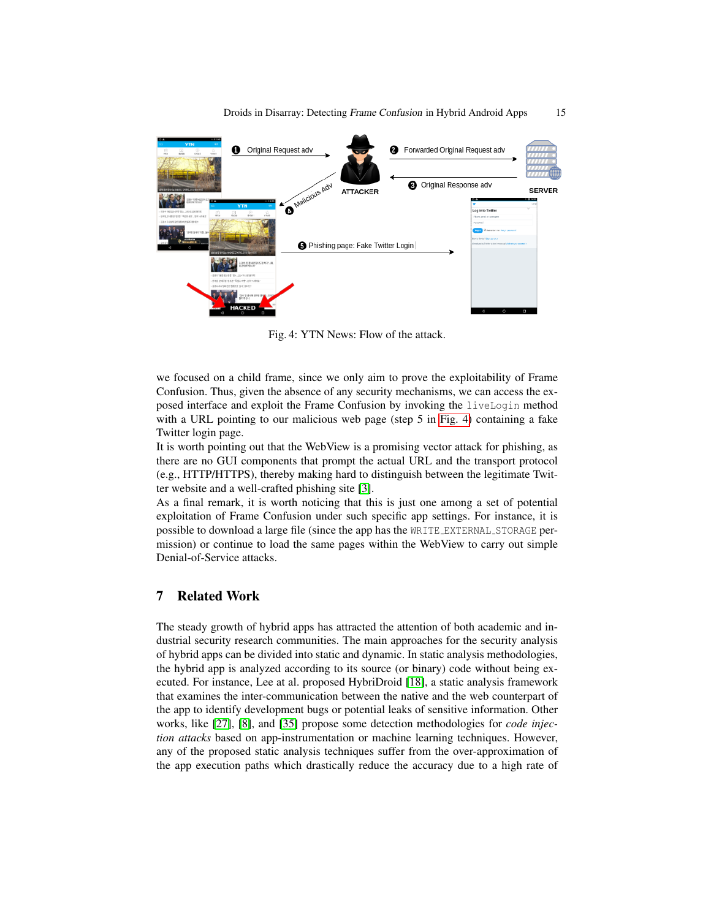<span id="page-14-1"></span>

Fig. 4: YTN News: Flow of the attack.

we focused on a child frame, since we only aim to prove the exploitability of Frame Confusion. Thus, given the absence of any security mechanisms, we can access the exposed interface and exploit the Frame Confusion by invoking the liveLogin method with a URL pointing to our malicious web page (step 5 in [Fig. 4\)](#page-14-1) containing a fake Twitter login page.

It is worth pointing out that the WebView is a promising vector attack for phishing, as there are no GUI components that prompt the actual URL and the transport protocol (e.g., HTTP/HTTPS), thereby making hard to distinguish between the legitimate Twitter website and a well-crafted phishing site [\[3\]](#page-16-14).

As a final remark, it is worth noticing that this is just one among a set of potential exploitation of Frame Confusion under such specific app settings. For instance, it is possible to download a large file (since the app has the WRITE EXTERNAL STORAGE permission) or continue to load the same pages within the WebView to carry out simple Denial-of-Service attacks.

# <span id="page-14-0"></span>7 Related Work

The steady growth of hybrid apps has attracted the attention of both academic and industrial security research communities. The main approaches for the security analysis of hybrid apps can be divided into static and dynamic. In static analysis methodologies, the hybrid app is analyzed according to its source (or binary) code without being executed. For instance, Lee at al. proposed HybriDroid [\[18\]](#page-17-14), a static analysis framework that examines the inter-communication between the native and the web counterpart of the app to identify development bugs or potential leaks of sensitive information. Other works, like [\[27\]](#page-17-15), [\[8\]](#page-16-15), and [\[35\]](#page-17-16) propose some detection methodologies for *code injection attacks* based on app-instrumentation or machine learning techniques. However, any of the proposed static analysis techniques suffer from the over-approximation of the app execution paths which drastically reduce the accuracy due to a high rate of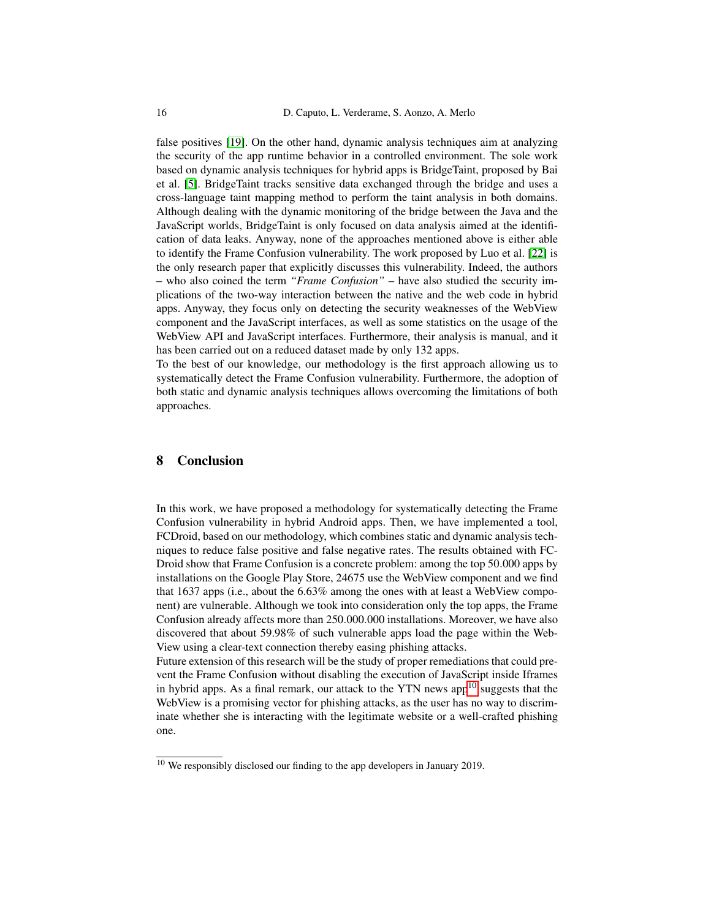false positives [\[19\]](#page-17-17). On the other hand, dynamic analysis techniques aim at analyzing the security of the app runtime behavior in a controlled environment. The sole work based on dynamic analysis techniques for hybrid apps is BridgeTaint, proposed by Bai et al. [\[5\]](#page-16-16). BridgeTaint tracks sensitive data exchanged through the bridge and uses a cross-language taint mapping method to perform the taint analysis in both domains. Although dealing with the dynamic monitoring of the bridge between the Java and the JavaScript worlds, BridgeTaint is only focused on data analysis aimed at the identification of data leaks. Anyway, none of the approaches mentioned above is either able to identify the Frame Confusion vulnerability. The work proposed by Luo et al. [\[22\]](#page-17-1) is the only research paper that explicitly discusses this vulnerability. Indeed, the authors – who also coined the term *"Frame Confusion"* – have also studied the security implications of the two-way interaction between the native and the web code in hybrid apps. Anyway, they focus only on detecting the security weaknesses of the WebView component and the JavaScript interfaces, as well as some statistics on the usage of the WebView API and JavaScript interfaces. Furthermore, their analysis is manual, and it has been carried out on a reduced dataset made by only 132 apps.

To the best of our knowledge, our methodology is the first approach allowing us to systematically detect the Frame Confusion vulnerability. Furthermore, the adoption of both static and dynamic analysis techniques allows overcoming the limitations of both approaches.

## <span id="page-15-0"></span>8 Conclusion

In this work, we have proposed a methodology for systematically detecting the Frame Confusion vulnerability in hybrid Android apps. Then, we have implemented a tool, FCDroid, based on our methodology, which combines static and dynamic analysis techniques to reduce false positive and false negative rates. The results obtained with FC-Droid show that Frame Confusion is a concrete problem: among the top 50.000 apps by installations on the Google Play Store, 24675 use the WebView component and we find that 1637 apps (i.e., about the 6.63% among the ones with at least a WebView component) are vulnerable. Although we took into consideration only the top apps, the Frame Confusion already affects more than 250.000.000 installations. Moreover, we have also discovered that about 59.98% of such vulnerable apps load the page within the Web-View using a clear-text connection thereby easing phishing attacks.

Future extension of this research will be the study of proper remediations that could prevent the Frame Confusion without disabling the execution of JavaScript inside Iframes in hybrid apps. As a final remark, our attack to the YTN news app<sup>[10](#page-0-0)</sup> suggests that the WebView is a promising vector for phishing attacks, as the user has no way to discriminate whether she is interacting with the legitimate website or a well-crafted phishing one.

<sup>&</sup>lt;sup>10</sup> We responsibly disclosed our finding to the app developers in January 2019.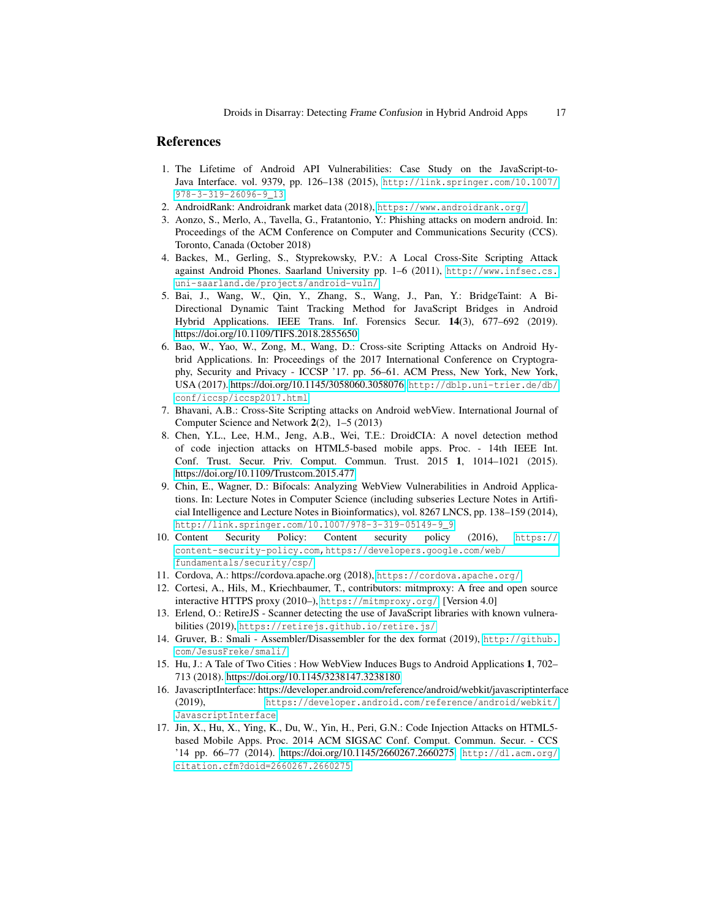## References

- <span id="page-16-7"></span>1. The Lifetime of Android API Vulnerabilities: Case Study on the JavaScript-to-Java Interface. vol. 9379, pp. 126–138 (2015), [http://link.springer.com/10.1007/](http://link.springer.com/10.1007/978-3-319-26096-9_13) [978-3-319-26096-9\\_13](http://link.springer.com/10.1007/978-3-319-26096-9_13)
- <span id="page-16-13"></span>2. AndroidRank: Androidrank market data (2018), <https://www.androidrank.org/>
- <span id="page-16-14"></span>3. Aonzo, S., Merlo, A., Tavella, G., Fratantonio, Y.: Phishing attacks on modern android. In: Proceedings of the ACM Conference on Computer and Communications Security (CCS). Toronto, Canada (October 2018)
- <span id="page-16-8"></span>4. Backes, M., Gerling, S., Styprekowsky, P.V.: A Local Cross-Site Scripting Attack against Android Phones. Saarland University pp. 1–6 (2011), [http://www.infsec.cs.](http://www.infsec.cs.uni-saarland.de/projects/android-vuln/) [uni-saarland.de/projects/android-vuln/](http://www.infsec.cs.uni-saarland.de/projects/android-vuln/)
- <span id="page-16-16"></span>5. Bai, J., Wang, W., Qin, Y., Zhang, S., Wang, J., Pan, Y.: BridgeTaint: A Bi-Directional Dynamic Taint Tracking Method for JavaScript Bridges in Android Hybrid Applications. IEEE Trans. Inf. Forensics Secur. 14(3), 677–692 (2019). <https://doi.org/10.1109/TIFS.2018.2855650>
- <span id="page-16-5"></span>6. Bao, W., Yao, W., Zong, M., Wang, D.: Cross-site Scripting Attacks on Android Hybrid Applications. In: Proceedings of the 2017 International Conference on Cryptography, Security and Privacy - ICCSP '17. pp. 56–61. ACM Press, New York, New York, USA (2017). [https://doi.org/10.1145/3058060.3058076,](https://doi.org/10.1145/3058060.3058076) [http://dblp.uni-trier.de/db/](http://dblp.uni-trier.de/db/conf/iccsp/iccsp2017.html) [conf/iccsp/iccsp2017.html](http://dblp.uni-trier.de/db/conf/iccsp/iccsp2017.html)
- <span id="page-16-3"></span>7. Bhavani, A.B.: Cross-Site Scripting attacks on Android webView. International Journal of Computer Science and Network 2(2), 1–5 (2013)
- <span id="page-16-15"></span>8. Chen, Y.L., Lee, H.M., Jeng, A.B., Wei, T.E.: DroidCIA: A novel detection method of code injection attacks on HTML5-based mobile apps. Proc. - 14th IEEE Int. Conf. Trust. Secur. Priv. Comput. Commun. Trust. 2015 1, 1014–1021 (2015). <https://doi.org/10.1109/Trustcom.2015.477>
- <span id="page-16-2"></span>9. Chin, E., Wagner, D.: Bifocals: Analyzing WebView Vulnerabilities in Android Applications. In: Lecture Notes in Computer Science (including subseries Lecture Notes in Artificial Intelligence and Lecture Notes in Bioinformatics), vol. 8267 LNCS, pp. 138–159 (2014), [http://link.springer.com/10.1007/978-3-319-05149-9\\_9](http://link.springer.com/10.1007/978-3-319-05149-9_9)
- <span id="page-16-9"></span>10. Content Security Policy: Content security policy (2016), [https://](https://content-security-policy.com,https://developers.google.com/web/fundamentals/security/csp/) [content-security-policy.com,https://developers.google.com/web/](https://content-security-policy.com,https://developers.google.com/web/fundamentals/security/csp/) [fundamentals/security/csp/](https://content-security-policy.com,https://developers.google.com/web/fundamentals/security/csp/)
- <span id="page-16-0"></span>11. Cordova, A.: https://cordova.apache.org (2018), <https://cordova.apache.org/>
- <span id="page-16-11"></span>12. Cortesi, A., Hils, M., Kriechbaumer, T., contributors: mitmproxy: A free and open source interactive HTTPS proxy (2010–), <https://mitmproxy.org/>, [Version 4.0]
- <span id="page-16-12"></span>13. Erlend, O.: RetireJS - Scanner detecting the use of JavaScript libraries with known vulnerabilities (2019), <https://retirejs.github.io/retire.js/>
- <span id="page-16-10"></span>14. Gruver, B.: Smali - Assembler/Disassembler for the dex format (2019), [http://github.](http://github.com/JesusFreke/smali/) [com/JesusFreke/smali/](http://github.com/JesusFreke/smali/)
- <span id="page-16-1"></span>15. Hu, J.: A Tale of Two Cities : How WebView Induces Bugs to Android Applications 1, 702– 713 (2018).<https://doi.org/10.1145/3238147.3238180>
- <span id="page-16-6"></span>16. JavascriptInterface: https://developer.android.com/reference/android/webkit/javascriptinterface (2019), [https://developer.android.com/reference/android/webkit/](https://developer.android.com/reference/android/webkit/JavascriptInterface) [JavascriptInterface](https://developer.android.com/reference/android/webkit/JavascriptInterface)
- <span id="page-16-4"></span>17. Jin, X., Hu, X., Ying, K., Du, W., Yin, H., Peri, G.N.: Code Injection Attacks on HTML5 based Mobile Apps. Proc. 2014 ACM SIGSAC Conf. Comput. Commun. Secur. - CCS '14 pp. 66–77 (2014). [https://doi.org/10.1145/2660267.2660275,](https://doi.org/10.1145/2660267.2660275) [http://dl.acm.org/](http://dl.acm.org/citation.cfm?doid=2660267.2660275) [citation.cfm?doid=2660267.2660275](http://dl.acm.org/citation.cfm?doid=2660267.2660275)